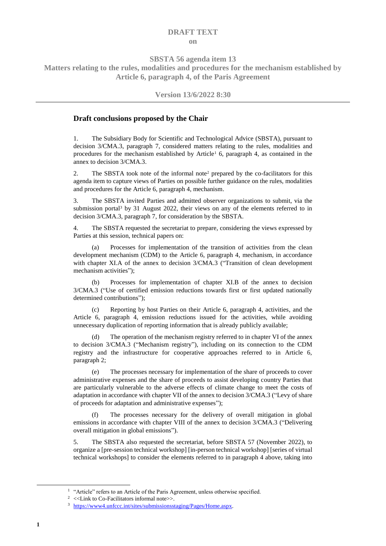## **DRAFT TEXT on**

**SBSTA 56 agenda item 13**

<span id="page-0-3"></span>**Matters relating to the rules, modalities and procedures for the mechanism established by Article 6, paragraph 4, of the Paris Agreement**

## **Version 13/6/2022 8:30**

## **Draft conclusions proposed by the Chair**

1. The Subsidiary Body for Scientific and Technological Advice (SBSTA), pursuant to decision 3/CMA.3, paragraph 7, considered matters relating to the rules, modalities and procedures for the mechanism established by Article<sup>1</sup> 6, paragraph 4, as contained in the annex to decision 3/CMA.3.

2. The SBSTA took note of the informal note<sup>2</sup> prepared by the co-facilitators for this agenda item to capture views of Parties on possible further guidance on the rules, modalities and procedures for the Article 6, paragraph 4, mechanism.

<span id="page-0-1"></span>3. The SBSTA invited Parties and admitted observer organizations to submit, via the submission portal<sup>3</sup> by 31 August 2022, their views on any of the elements referred to in decision 3/CMA.3, paragraph 7, for consideration by the SBSTA.

<span id="page-0-0"></span>4. The SBSTA requested the secretariat to prepare, considering the views expressed by Parties at this session, technical papers on:

(a) Processes for implementation of the transition of activities from the clean development mechanism (CDM) to the Article 6, paragraph 4, mechanism, in accordance with chapter XI.A of the annex to decision 3/CMA.3 ("Transition of clean development mechanism activities");

(b) Processes for implementation of chapter XI.B of the annex to decision 3/CMA.3 ("Use of certified emission reductions towards first or first updated nationally determined contributions");

(c) Reporting by host Parties on their Article 6, paragraph 4, activities, and the Article 6, paragraph 4, emission reductions issued for the activities, while avoiding unnecessary duplication of reporting information that is already publicly available;

(d) The operation of the mechanism registry referred to in chapter VI of the annex to decision 3/CMA.3 ("Mechanism registry"), including on its connection to the CDM registry and the infrastructure for cooperative approaches referred to in Article 6, paragraph 2;

(e) The processes necessary for implementation of the share of proceeds to cover administrative expenses and the share of proceeds to assist developing country Parties that are particularly vulnerable to the adverse effects of climate change to meet the costs of adaptation in accordance with chapter VII of the annex to decision 3/CMA.3 ("Levy of share of proceeds for adaptation and administrative expenses");

The processes necessary for the delivery of overall mitigation in global emissions in accordance with chapter VIII of the annex to decision 3/CMA.3 ("Delivering overall mitigation in global emissions").

<span id="page-0-2"></span>5. The SBSTA also requested the secretariat, before SBSTA 57 (November 2022), to organize a [pre-session technical workshop] [in-person technical workshop] [series of virtual technical workshops] to consider the elements referred to in paragraph [4 above,](#page-0-0) taking into

-

<sup>&</sup>lt;sup>1</sup> "Article" refers to an Article of the Paris Agreement, unless otherwise specified.

<sup>&</sup>lt;sup>2</sup> <<Link to Co-Facilitators informal note>>.

<sup>3</sup> [https://www4.unfccc.int/sites/submissionsstaging/Pages/Home.aspx.](https://www4.unfccc.int/sites/submissionsstaging/Pages/Home.aspx)